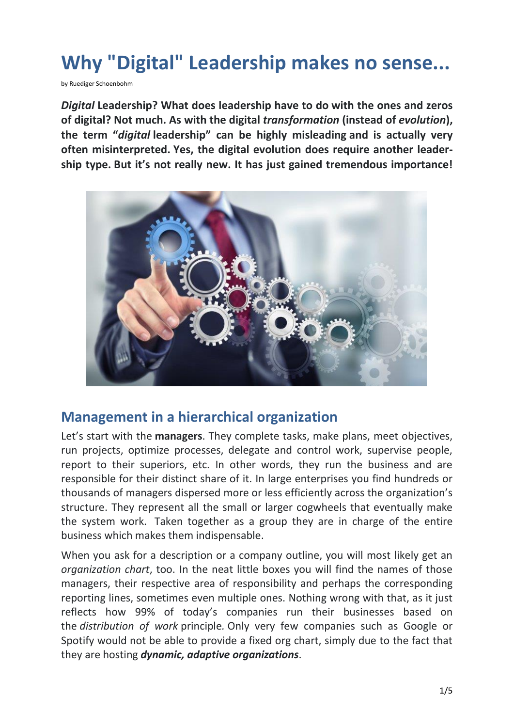# **Why "Digital" Leadership makes no sense...**

by Ruediger Schoenbohm

*Digital* **Leadership? What does leadership have to do with the ones and zeros of digital? Not much. As with the digital** *transformation* **(instead of** *evolution***), the term "***digital* **leadership" can be highly misleading and is actually very often misinterpreted. Yes, the digital evolution does require another leadership type. But it's not really new. It has just gained tremendous importance!**



#### **Management in a hierarchical organization**

Let's start with the **managers**. They complete tasks, make plans, meet objectives, run projects, optimize processes, delegate and control work, supervise people, report to their superiors, etc. In other words, they run the business and are responsible for their distinct share of it. In large enterprises you find hundreds or thousands of managers dispersed more or less efficiently across the organization's structure. They represent all the small or larger cogwheels that eventually make the system work. Taken together as a group they are in charge of the entire business which makes them indispensable.

When you ask for a description or a company outline, you will most likely get an *organization chart*, too. In the neat little boxes you will find the names of those managers, their respective area of responsibility and perhaps the corresponding reporting lines, sometimes even multiple ones. Nothing wrong with that, as it just reflects how 99% of today's companies run their businesses based on the *distribution of work* principle*.* Only very few companies such as Google or Spotify would not be able to provide a fixed org chart, simply due to the fact that they are hosting *dynamic, adaptive organizations*.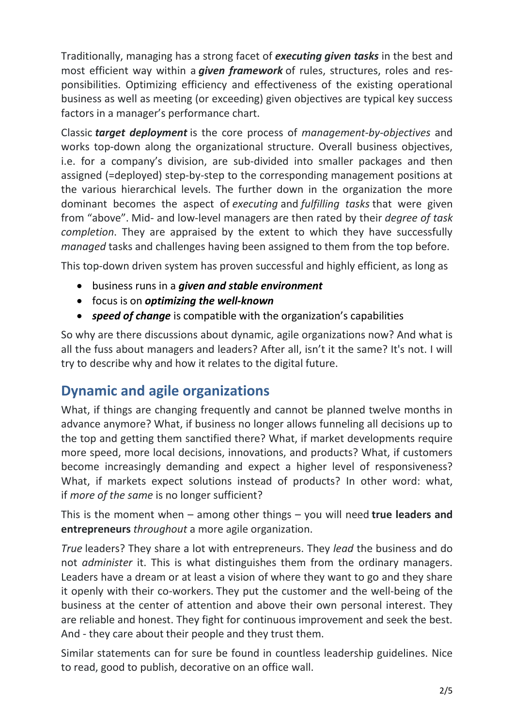Traditionally, managing has a strong facet of *executing given tasks* in the best and most efficient way within a *given framework* of rules, structures, roles and responsibilities. Optimizing efficiency and effectiveness of the existing operational business as well as meeting (or exceeding) given objectives are typical key success factors in a manager's performance chart.

Classic *target deployment* is the core process of *management-by-objectives* and works top-down along the organizational structure. Overall business objectives, i.e. for a company's division, are sub-divided into smaller packages and then assigned (=deployed) step-by-step to the corresponding management positions at the various hierarchical levels. The further down in the organization the more dominant becomes the aspect of *executing* and *fulfilling tasks* that were given from "above". Mid- and low-level managers are then rated by their *degree of task completion*. They are appraised by the extent to which they have successfully *managed* tasks and challenges having been assigned to them from the top before.

This top-down driven system has proven successful and highly efficient, as long as

- business runs in a *given and stable environment*
- focus is on *optimizing the well-known*
- *speed of change* is compatible with the organization's capabilities

So why are there discussions about dynamic, agile organizations now? And what is all the fuss about managers and leaders? After all, isn't it the same? It's not. I will try to describe why and how it relates to the digital future.

## **Dynamic and agile organizations**

What, if things are changing frequently and cannot be planned twelve months in advance anymore? What, if business no longer allows funneling all decisions up to the top and getting them sanctified there? What, if market developments require more speed, more local decisions, innovations, and products? What, if customers become increasingly demanding and expect a higher level of responsiveness? What, if markets expect solutions instead of products? In other word: what, if *more of the same* is no longer sufficient?

This is the moment when – among other things – you will need **true leaders and entrepreneurs** *throughout* a more agile organization.

*True* leaders? They share a lot with entrepreneurs. They *lead* the business and do not *administer* it. This is what distinguishes them from the ordinary managers. Leaders have a dream or at least a vision of where they want to go and they share it openly with their co-workers. They put the customer and the well-being of the business at the center of attention and above their own personal interest. They are reliable and honest. They fight for continuous improvement and seek the best. And - they care about their people and they trust them.

Similar statements can for sure be found in countless leadership guidelines. Nice to read, good to publish, decorative on an office wall.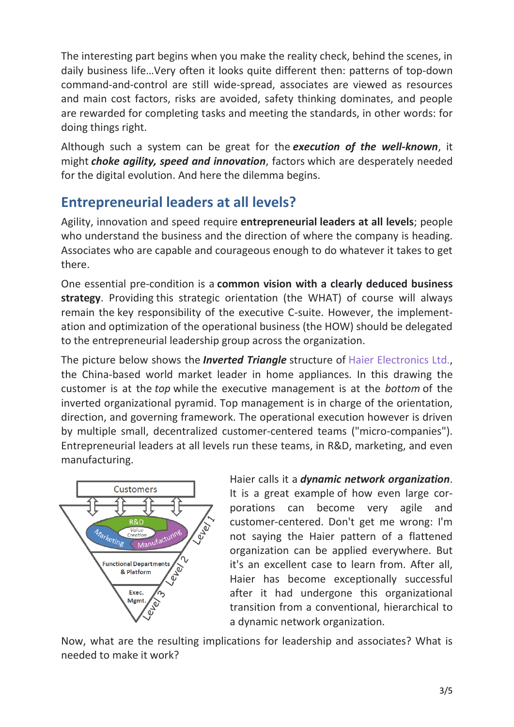The interesting part begins when you make the reality check, behind the scenes, in daily business life…Very often it looks quite different then: patterns of top-down command-and-control are still wide-spread, associates are viewed as resources and main cost factors, risks are avoided, safety thinking dominates, and people are rewarded for completing tasks and meeting the standards, in other words: for doing things right.

Although such a system can be great for the *execution of the well-known*, it might *choke agility, speed and innovation*, factors which are desperately needed for the digital evolution. And here the dilemma begins.

### **Entrepreneurial leaders at all levels?**

Agility, innovation and speed require **entrepreneurial leaders at all levels**; people who understand the business and the direction of where the company is heading. Associates who are capable and courageous enough to do whatever it takes to get there.

One essential pre-condition is a **common vision with a clearly deduced business strategy**. Providing this strategic orientation (the WHAT) of course will always remain the key responsibility of the executive C-suite. However, the implementation and optimization of the operational business (the HOW) should be delegated to the entrepreneurial leadership group across the organization.

The picture below shows the *Inverted Triangle* structure of Haier [Electronics](http://www.haier.net/en/) Ltd., the China-based world market leader in home appliances. In this drawing the customer is at the *top* while the executive management is at the *bottom* of the inverted organizational pyramid. Top management is in charge of the orientation, direction, and governing framework. The operational execution however is driven by multiple small, decentralized customer-centered teams ("micro-companies"). Entrepreneurial leaders at all levels run these teams, in R&D, marketing, and even manufacturing.



Haier calls it a *dynamic network organization*. It is a great example of how even large corporations can become very agile and customer-centered. Don't get me wrong: I'm not saying the Haier pattern of a flattened organization can be applied everywhere. But it's an excellent case to learn from. After all, Haier has become exceptionally successful after it had undergone this organizational transition from a conventional, hierarchical to a dynamic network organization.

Now, what are the resulting implications for leadership and associates? What is needed to make it work?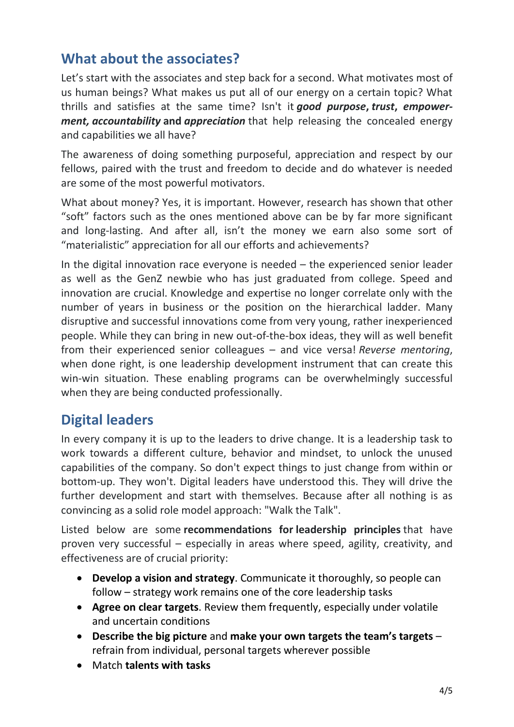### **What about the associates?**

Let's start with the associates and step back for a second. What motivates most of us human beings? What makes us put all of our energy on a certain topic? What thrills and satisfies at the same time? Isn't it *good purpose***,** *trust***,** *empowerment, accountability* **and** *appreciation* that help releasing the concealed energy and capabilities we all have?

The awareness of doing something purposeful, appreciation and respect by our fellows, paired with the trust and freedom to decide and do whatever is needed are some of the most powerful motivators.

What about money? Yes, it is important. However, research has shown that other "soft" factors such as the ones mentioned above can be by far more significant and long-lasting. And after all, isn't the money we earn also some sort of "materialistic" appreciation for all our efforts and achievements?

In the digital innovation race everyone is needed – the experienced senior leader as well as the GenZ newbie who has just graduated from college. Speed and innovation are crucial. Knowledge and expertise no longer correlate only with the number of years in business or the position on the hierarchical ladder. Many disruptive and successful innovations come from very young, rather inexperienced people. While they can bring in new out-of-the-box ideas, they will as well benefit from their experienced senior colleagues – and vice versa! *Reverse mentoring*, when done right, is one leadership development instrument that can create this win-win situation. These enabling programs can be overwhelmingly successful when they are being conducted professionally.

### **Digital leaders**

In every company it is up to the leaders to drive change. It is a leadership task to work towards a different culture, behavior and mindset, to unlock the unused capabilities of the company. So don't expect things to just change from within or bottom-up. They won't. Digital leaders have understood this. They will drive the further development and start with themselves. Because after all nothing is as convincing as a solid role model approach: "Walk the Talk".

Listed below are some **recommendations for leadership principles** that have proven very successful – especially in areas where speed, agility, creativity, and effectiveness are of crucial priority:

- **Develop a vision and strategy**. Communicate it thoroughly, so people can follow – strategy work remains one of the core leadership tasks
- **Agree on clear targets**. Review them frequently, especially under volatile and uncertain conditions
- **Describe the big picture** and **make your own targets the team's targets** refrain from individual, personal targets wherever possible
- Match **talents with tasks**